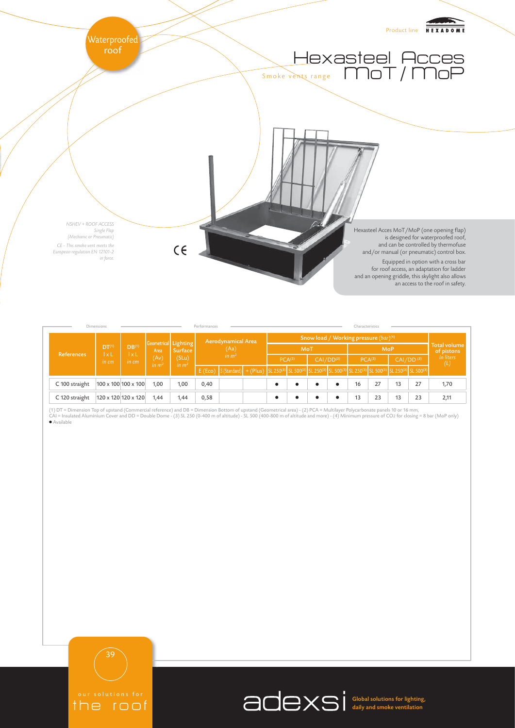

| Dimensions     |                                               |                                               |                                   | Performances                                                         |                           |                                                                                                                                                                                                                                   |     | Characteristics                                   |  |                       |            |                    |    |                       |                                   |                  |
|----------------|-----------------------------------------------|-----------------------------------------------|-----------------------------------|----------------------------------------------------------------------|---------------------------|-----------------------------------------------------------------------------------------------------------------------------------------------------------------------------------------------------------------------------------|-----|---------------------------------------------------|--|-----------------------|------------|--------------------|----|-----------------------|-----------------------------------|------------------|
| References     | DT <sup>(1)</sup><br>$\vert x \vert$<br>in cm | DB <sup>(1)</sup><br>$\vert x \vert$<br>in cm | Area<br>(Av)<br>in m <sup>2</sup> | Geometrical Lighting<br><b>Surface</b><br>(SLu)<br>in m <sup>2</sup> | <b>Aerodynamical Area</b> |                                                                                                                                                                                                                                   |     | Snow load / Working pressure (bar) <sup>(4)</sup> |  |                       |            |                    |    |                       |                                   |                  |
|                |                                               |                                               |                                   |                                                                      | (Aa)                      |                                                                                                                                                                                                                                   | MoT |                                                   |  |                       | <b>MoP</b> |                    |    |                       | <b>Total volume</b><br>of pistons |                  |
|                |                                               |                                               |                                   |                                                                      | in m <sup>2</sup>         |                                                                                                                                                                                                                                   |     | PCA <sup>(2)</sup>                                |  | CAI/DD <sup>(2)</sup> |            | PCA <sup>(2)</sup> |    | CAI/DD <sup>(2)</sup> |                                   | in liters<br>(L) |
|                |                                               |                                               |                                   |                                                                      |                           | E (Eco) S(Standard) + (Plus) SL 250 <sup>(3)</sup> SL 500 <sup>(3)</sup> SL 2500 <sup>3</sup> SL 500 <sup>(3)</sup> SL 250 <sup>(3)</sup> SL 250 <sup>(3)</sup> SL 500 <sup>(3)</sup> SL 250 <sup>(3)</sup> SL 500 <sup>(3)</sup> |     |                                                   |  |                       |            |                    |    |                       |                                   |                  |
| C 100 straight |                                               | 100 x 100 100 x 100                           | 1,00                              | 1,00                                                                 | 0,40                      |                                                                                                                                                                                                                                   |     |                                                   |  |                       | $\bullet$  | 16                 | 27 | 13                    | 27                                | 1,70             |
| C 120 straight |                                               | 120 x 120 120 x 120                           | 1,44                              | 1,44                                                                 | 0,58                      |                                                                                                                                                                                                                                   |     |                                                   |  |                       | ٠          | 13                 | 23 | 13                    | 23                                | 2,11             |

(1) DT = Dimension Top of upstand (Commercial reference) and DB = Dimension Bottom of upstand (Geometrical area) - (2) PCA = Multilayer Polycarbonate panels 10 or 16 mm,<br>CAI = Insulated Aluminium Cover and DD = Double Dome ● Available



the roof

Global solutions for lighting, daily and smoke ventilation